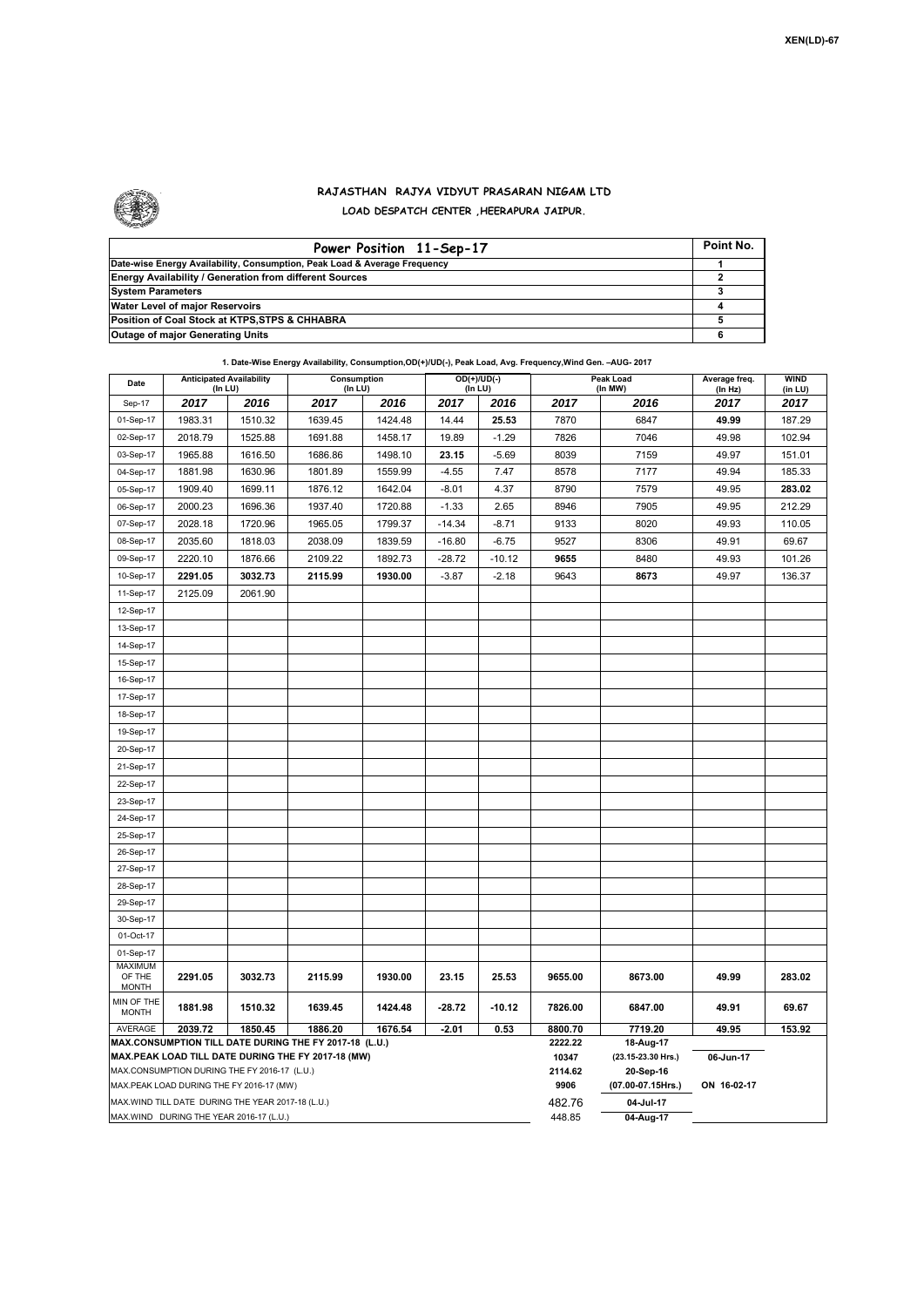

## **RAJASTHAN RAJYA VIDYUT PRASARAN NIGAM LTD LOAD DESPATCH CENTER ,HEERAPURA JAIPUR.**

| Power Position 11-Sep-17                                                  | Point No. |
|---------------------------------------------------------------------------|-----------|
| Date-wise Energy Availability, Consumption, Peak Load & Average Frequency |           |
| <b>Energy Availability / Generation from different Sources</b>            |           |
| <b>System Parameters</b>                                                  |           |
| Water Level of major Reservoirs                                           |           |
| Position of Coal Stock at KTPS, STPS & CHHABRA                            |           |
| <b>Outage of major Generating Units</b>                                   |           |

|                                                                                                                                                                                                                                                               | 1. Date-Wise Energy Availability, Consumption, OD(+)/UD(-), Peak Load, Avg. Frequency, Wind Gen. - AUG- 2017 |         |                        |         |          |                          |                    |                                                                   |                          |                        |  |  |
|---------------------------------------------------------------------------------------------------------------------------------------------------------------------------------------------------------------------------------------------------------------|--------------------------------------------------------------------------------------------------------------|---------|------------------------|---------|----------|--------------------------|--------------------|-------------------------------------------------------------------|--------------------------|------------------------|--|--|
| Date                                                                                                                                                                                                                                                          | <b>Anticipated Availability</b><br>(In LU)                                                                   |         | Consumption<br>(In LU) |         |          | $OD(+)/UD(-)$<br>(In LU) |                    | Peak Load<br>(In MW)                                              | Average freq.<br>(In Hz) | <b>WIND</b><br>(in LU) |  |  |
| Sep-17                                                                                                                                                                                                                                                        | 2017                                                                                                         | 2016    | 2017                   | 2016    | 2017     | 2016                     | 2017               | 2016                                                              | 2017                     | 2017                   |  |  |
| 01-Sep-17                                                                                                                                                                                                                                                     | 1983.31                                                                                                      | 1510.32 | 1639.45                | 1424.48 | 14.44    | 25.53                    | 7870               | 6847                                                              | 49.99                    | 187.29                 |  |  |
| 02-Sep-17                                                                                                                                                                                                                                                     | 2018.79                                                                                                      | 1525.88 | 1691.88                | 1458.17 | 19.89    | $-1.29$                  | 7826               | 7046                                                              | 49.98                    | 102.94                 |  |  |
| 03-Sep-17                                                                                                                                                                                                                                                     | 1965.88                                                                                                      | 1616.50 | 1686.86                | 1498.10 | 23.15    | $-5.69$                  | 8039               | 7159                                                              | 49.97                    | 151.01                 |  |  |
| 04-Sep-17                                                                                                                                                                                                                                                     | 1881.98                                                                                                      | 1630.96 | 1801.89                | 1559.99 | $-4.55$  | 7.47                     | 8578               | 7177                                                              | 49.94                    | 185.33                 |  |  |
| 05-Sep-17                                                                                                                                                                                                                                                     | 1909.40                                                                                                      | 1699.11 | 1876.12                | 1642.04 | $-8.01$  | 4.37                     | 8790               | 7579                                                              | 49.95                    | 283.02                 |  |  |
| 06-Sep-17                                                                                                                                                                                                                                                     | 2000.23                                                                                                      | 1696.36 | 1937.40                | 1720.88 | $-1.33$  | 2.65                     | 8946               | 7905                                                              | 49.95                    | 212.29                 |  |  |
| 07-Sep-17                                                                                                                                                                                                                                                     | 2028.18                                                                                                      | 1720.96 | 1965.05                | 1799.37 | $-14.34$ | $-8.71$                  | 9133               | 8020                                                              | 49.93                    | 110.05                 |  |  |
| 08-Sep-17                                                                                                                                                                                                                                                     | 2035.60                                                                                                      | 1818.03 | 2038.09                | 1839.59 | $-16.80$ | $-6.75$                  | 9527               | 8306                                                              | 49.91                    | 69.67                  |  |  |
| 09-Sep-17                                                                                                                                                                                                                                                     | 2220.10                                                                                                      | 1876.66 | 2109.22                | 1892.73 | $-28.72$ | $-10.12$                 | 9655               | 8480                                                              | 49.93                    | 101.26                 |  |  |
| 10-Sep-17                                                                                                                                                                                                                                                     | 2291.05                                                                                                      | 3032.73 | 2115.99                | 1930.00 | $-3.87$  | $-2.18$                  | 9643               | 8673                                                              | 49.97                    | 136.37                 |  |  |
| 11-Sep-17                                                                                                                                                                                                                                                     | 2125.09                                                                                                      | 2061.90 |                        |         |          |                          |                    |                                                                   |                          |                        |  |  |
| 12-Sep-17                                                                                                                                                                                                                                                     |                                                                                                              |         |                        |         |          |                          |                    |                                                                   |                          |                        |  |  |
| 13-Sep-17                                                                                                                                                                                                                                                     |                                                                                                              |         |                        |         |          |                          |                    |                                                                   |                          |                        |  |  |
| 14-Sep-17                                                                                                                                                                                                                                                     |                                                                                                              |         |                        |         |          |                          |                    |                                                                   |                          |                        |  |  |
| 15-Sep-17                                                                                                                                                                                                                                                     |                                                                                                              |         |                        |         |          |                          |                    |                                                                   |                          |                        |  |  |
| 16-Sep-17                                                                                                                                                                                                                                                     |                                                                                                              |         |                        |         |          |                          |                    |                                                                   |                          |                        |  |  |
| 17-Sep-17                                                                                                                                                                                                                                                     |                                                                                                              |         |                        |         |          |                          |                    |                                                                   |                          |                        |  |  |
| 18-Sep-17                                                                                                                                                                                                                                                     |                                                                                                              |         |                        |         |          |                          |                    |                                                                   |                          |                        |  |  |
| 19-Sep-17                                                                                                                                                                                                                                                     |                                                                                                              |         |                        |         |          |                          |                    |                                                                   |                          |                        |  |  |
| 20-Sep-17                                                                                                                                                                                                                                                     |                                                                                                              |         |                        |         |          |                          |                    |                                                                   |                          |                        |  |  |
| 21-Sep-17                                                                                                                                                                                                                                                     |                                                                                                              |         |                        |         |          |                          |                    |                                                                   |                          |                        |  |  |
| 22-Sep-17                                                                                                                                                                                                                                                     |                                                                                                              |         |                        |         |          |                          |                    |                                                                   |                          |                        |  |  |
| 23-Sep-17                                                                                                                                                                                                                                                     |                                                                                                              |         |                        |         |          |                          |                    |                                                                   |                          |                        |  |  |
| 24-Sep-17                                                                                                                                                                                                                                                     |                                                                                                              |         |                        |         |          |                          |                    |                                                                   |                          |                        |  |  |
| 25-Sep-17                                                                                                                                                                                                                                                     |                                                                                                              |         |                        |         |          |                          |                    |                                                                   |                          |                        |  |  |
| 26-Sep-17                                                                                                                                                                                                                                                     |                                                                                                              |         |                        |         |          |                          |                    |                                                                   |                          |                        |  |  |
| 27-Sep-17                                                                                                                                                                                                                                                     |                                                                                                              |         |                        |         |          |                          |                    |                                                                   |                          |                        |  |  |
| 28-Sep-17                                                                                                                                                                                                                                                     |                                                                                                              |         |                        |         |          |                          |                    |                                                                   |                          |                        |  |  |
| 29-Sep-17                                                                                                                                                                                                                                                     |                                                                                                              |         |                        |         |          |                          |                    |                                                                   |                          |                        |  |  |
| 30-Sep-17                                                                                                                                                                                                                                                     |                                                                                                              |         |                        |         |          |                          |                    |                                                                   |                          |                        |  |  |
| 01-Oct-17                                                                                                                                                                                                                                                     |                                                                                                              |         |                        |         |          |                          |                    |                                                                   |                          |                        |  |  |
| 01-Sep-17                                                                                                                                                                                                                                                     |                                                                                                              |         |                        |         |          |                          |                    |                                                                   |                          |                        |  |  |
| <b>MAXIMUM</b><br>OF THE<br><b>MONTH</b>                                                                                                                                                                                                                      | 2291.05                                                                                                      | 3032.73 | 2115.99                | 1930.00 | 23.15    | 25.53                    | 9655.00            | 8673.00                                                           | 49.99                    | 283.02                 |  |  |
| MIN OF THE<br><b>MONTH</b>                                                                                                                                                                                                                                    | 1881.98                                                                                                      | 1510.32 | 1639.45                | 1424.48 | $-28.72$ | $-10.12$                 | 7826.00            | 6847.00                                                           | 49.91                    | 69.67                  |  |  |
| AVERAGE                                                                                                                                                                                                                                                       | 2039.72                                                                                                      | 1850.45 | 1886.20                | 1676.54 | $-2.01$  | 0.53                     | 8800.70<br>2222.22 | 7719.20                                                           | 49.95                    | 153.92                 |  |  |
| MAX.CONSUMPTION TILL DATE DURING THE FY 2017-18 (L.U.)<br>MAX.PEAK LOAD TILL DATE DURING THE FY 2017-18 (MW)<br>MAX.CONSUMPTION DURING THE FY 2016-17 (L.U.)<br>MAX.PEAK LOAD DURING THE FY 2016-17 (MW)<br>MAX.WIND TILL DATE DURING THE YEAR 2017-18 (L.U.) |                                                                                                              |         |                        |         |          |                          |                    | 18-Aug-17<br>(23.15-23.30 Hrs.)<br>20-Sep-16<br>(07.00-07.15Hrs.) | 06-Jun-17<br>ON 16-02-17 |                        |  |  |
|                                                                                                                                                                                                                                                               | MAX.WIND DURING THE YEAR 2016-17 (L.U.)                                                                      |         |                        |         |          |                          | 482.76<br>448.85   | 04-Jul-17<br>04-Aug-17                                            |                          |                        |  |  |
|                                                                                                                                                                                                                                                               |                                                                                                              |         |                        |         |          |                          |                    |                                                                   |                          |                        |  |  |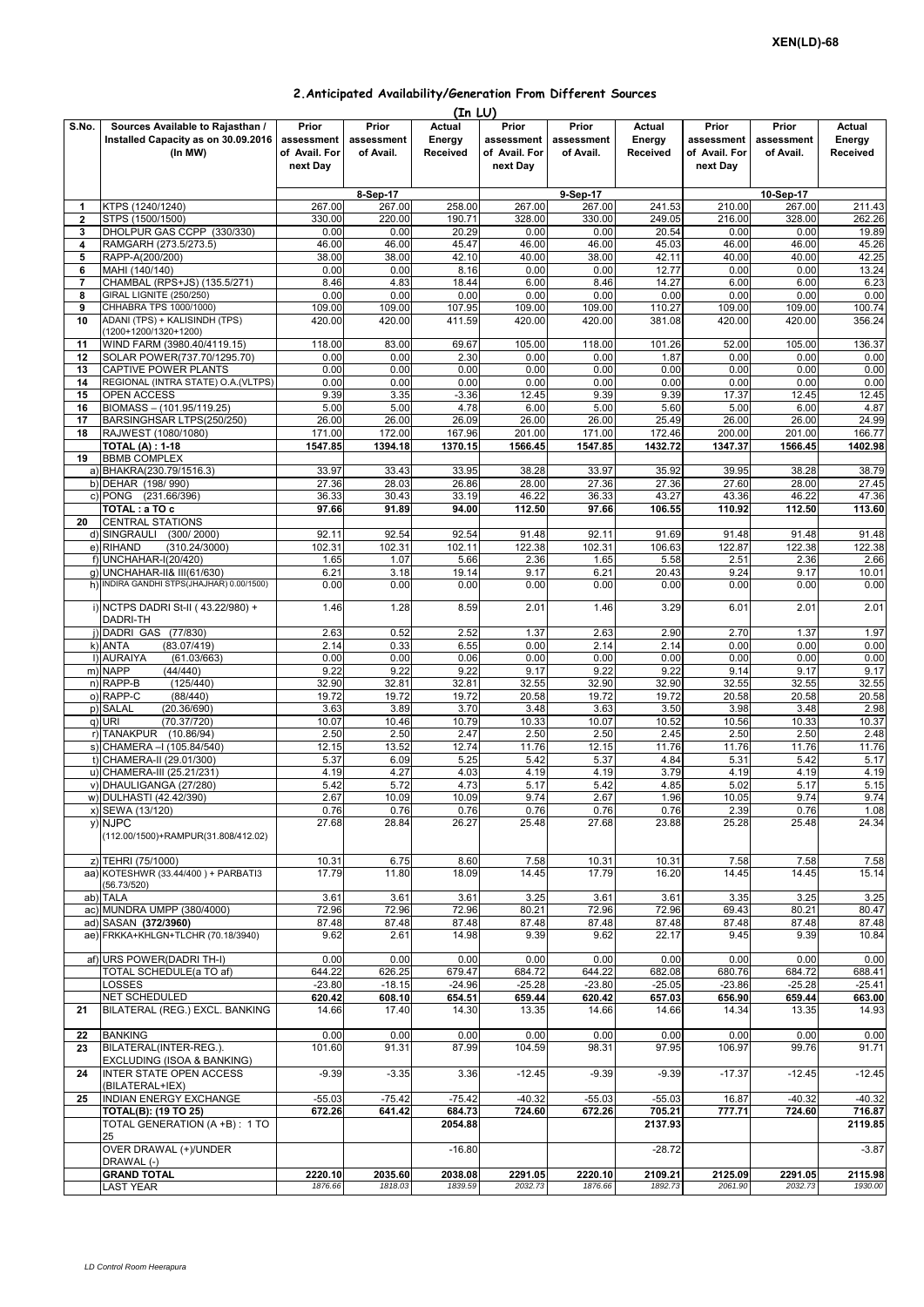## **2.Anticipated Availability/Generation From Different Sources**

|                |                                           |               |            | (In LU)  |               |            |          |               |            |          |
|----------------|-------------------------------------------|---------------|------------|----------|---------------|------------|----------|---------------|------------|----------|
| S.No.          | Sources Available to Rajasthan /          | Prior         | Prior      | Actual   | Prior         | Prior      | Actual   | Prior         | Prior      | Actual   |
|                | Installed Capacity as on 30.09.2016       | assessment    | assessment | Energy   | assessment    | assessment | Energy   | assessment    | assessment | Energy   |
|                | (In MW)                                   | of Avail. For | of Avail.  | Received | of Avail. For | of Avail.  | Received | of Avail. For | of Avail.  | Received |
|                |                                           | next Day      |            |          | next Day      |            |          | next Day      |            |          |
|                |                                           |               |            |          |               |            |          |               |            |          |
|                |                                           |               |            |          |               |            |          |               |            |          |
|                |                                           |               | 8-Sep-17   |          |               | 9-Sep-17   |          |               | 10-Sep-17  |          |
| 1              | KTPS (1240/1240)                          | 267.00        | 267.00     | 258.00   | 267.00        | 267.00     | 241.53   | 210.00        | 267.00     | 211.43   |
| 2              | STPS (1500/1500)                          | 330.00        | 220.00     | 190.71   | 328.00        | 330.00     | 249.05   | 216.00        | 328.00     | 262.26   |
| 3              | DHOLPUR GAS CCPP (330/330)                | 0.00          | 0.00       | 20.29    | 0.00          | 0.00       | 20.54    | 0.00          | 0.00       | 19.89    |
| 4              | RAMGARH (273.5/273.5)                     | 46.00         | 46.00      | 45.47    | 46.00         | 46.00      | 45.03    | 46.00         | 46.00      | 45.26    |
|                | RAPP-A(200/200)                           | 38.00         | 38.00      | 42.10    | 40.00         | 38.00      | 42.11    | 40.00         | 40.00      | 42.25    |
| 5              |                                           |               |            |          |               |            |          |               |            |          |
| 6              | MAHI (140/140)                            | 0.00          | 0.00       | 8.16     | 0.00          | 0.00       | 12.77    | 0.00          | 0.00       | 13.24    |
| $\overline{7}$ | CHAMBAL (RPS+JS) (135.5/271)              | 8.46          | 4.83       | 18.44    | 6.00          | 8.46       | 14.27    | 6.00          | 6.00       | 6.23     |
| 8              | GIRAL LIGNITE (250/250)                   | 0.00          | 0.00       | 0.00     | 0.00          | 0.00       | 0.00     | 0.00          | 0.00       | 0.00     |
| 9              | CHHABRA TPS 1000/1000)                    | 109.00        | 109.00     | 107.95   | 109.00        | 109.00     | 110.27   | 109.00        | 109.00     | 100.74   |
| 10             | ADANI (TPS) + KALISINDH (TPS)             | 420.00        | 420.00     | 411.59   | 420.00        | 420.00     | 381.08   | 420.00        | 420.00     | 356.24   |
|                | (1200+1200/1320+1200)                     |               |            |          |               |            |          |               |            |          |
| 11             | WIND FARM (3980.40/4119.15)               | 118.00        | 83.00      | 69.67    | 105.00        | 118.00     | 101.26   | 52.00         | 105.00     | 136.37   |
|                |                                           |               |            |          |               |            |          |               |            |          |
| 12             | SOLAR POWER(737.70/1295.70)               | 0.00          | 0.00       | 2.30     | 0.00          | 0.00       | 1.87     | 0.00          | 0.00       | 0.00     |
| 13             | <b>CAPTIVE POWER PLANTS</b>               | 0.00          | 0.00       | 0.00     | 0.00          | 0.00       | 0.00     | 0.00          | 0.00       | 0.00     |
| 14             | REGIONAL (INTRA STATE) O.A.(VLTPS)        | 0.00          | 0.00       | 0.00     | 0.00          | 0.00       | 0.00     | 0.00          | 0.00       | 0.00     |
| 15             | OPEN ACCESS                               | 9.39          | 3.35       | $-3.36$  | 12.45         | 9.39       | 9.39     | 17.37         | 12.45      | 12.45    |
| 16             | BIOMASS - (101.95/119.25)                 | 5.00          | 5.00       | 4.78     | 6.00          | 5.00       | 5.60     | 5.00          | 6.00       | 4.87     |
| 17             | BARSINGHSAR LTPS(250/250)                 | 26.00         | 26.00      | 26.09    | 26.00         | 26.00      | 25.49    | 26.00         | 26.00      | 24.99    |
|                |                                           |               |            |          |               |            |          |               |            |          |
| 18             | RAJWEST (1080/1080)                       | 171.00        | 172.00     | 167.96   | 201.00        | 171.00     | 172.46   | 200.00        | 201.00     | 166.77   |
|                | <b>TOTAL (A): 1-18</b>                    | 1547.85       | 1394.18    | 1370.15  | 1566.45       | 1547.85    | 1432.72  | 1347.37       | 1566.45    | 1402.98  |
| 19             | <b>BBMB COMPLEX</b>                       |               |            |          |               |            |          |               |            |          |
|                | a) BHAKRA(230.79/1516.3)                  | 33.97         | 33.43      | 33.95    | 38.28         | 33.97      | 35.92    | 39.95         | 38.28      | 38.79    |
|                | b) DEHAR (198/990)                        | 27.36         | 28.03      | 26.86    | 28.00         | 27.36      | 27.36    | 27.60         | 28.00      | 27.45    |
|                |                                           | 36.33         | 30.43      | 33.19    | 46.22         | 36.33      | 43.27    | 43.36         | 46.22      | 47.36    |
|                | c) PONG (231.66/396)                      |               |            |          |               |            |          |               |            |          |
|                | TOTAL: a TO c                             | 97.66         | 91.89      | 94.00    | 112.50        | 97.66      | 106.55   | 110.92        | 112.50     | 113.60   |
| 20             | <b>CENTRAL STATIONS</b>                   |               |            |          |               |            |          |               |            |          |
|                | d) SINGRAULI<br>(300/2000)                | 92.11         | 92.54      | 92.54    | 91.48         | 92.11      | 91.69    | 91.48         | 91.48      | 91.48    |
|                | e) RIHAND<br>(310.24/3000)                | 102.31        | 102.31     | 102.11   | 122.38        | 102.31     | 106.63   | 122.87        | 122.38     | 122.38   |
|                | f) UNCHAHAR-I(20/420)                     | 1.65          | 1.07       | 5.66     | 2.36          | 1.65       | 5.58     | 2.51          | 2.36       | 2.66     |
|                |                                           |               |            |          |               |            |          |               |            |          |
|                | g) UNCHAHAR-II& III(61/630)               | 6.21          | 3.18       | 19.14    | 9.17          | 6.21       | 20.43    | 9.24          | 9.17       | 10.01    |
|                | h) INDIRA GANDHI STPS(JHAJHAR) 0.00/1500) | 0.00          | 0.00       | 0.00     | 0.00          | 0.00       | 0.00     | 0.00          | 0.00       | 0.00     |
|                |                                           |               |            |          |               |            |          |               |            |          |
|                | i) NCTPS DADRI St-II (43.22/980) +        | 1.46          | 1.28       | 8.59     | 2.01          | 1.46       | 3.29     | 6.01          | 2.01       | 2.01     |
|                | DADRI-TH                                  |               |            |          |               |            |          |               |            |          |
|                | j) DADRI GAS (77/830)                     | 2.63          | 0.52       | 2.52     | 1.37          | 2.63       | 2.90     | 2.70          | 1.37       | 1.97     |
|                | (83.07/419)<br>k) ANTA                    | 2.14          | 0.33       | 6.55     | 0.00          | 2.14       | 2.14     | 0.00          | 0.00       | 0.00     |
|                | I) AURAIYA<br>(61.03/663)                 | 0.00          | 0.00       | 0.06     | 0.00          | 0.00       | 0.00     | 0.00          | 0.00       | 0.00     |
|                |                                           |               |            |          |               |            |          |               |            |          |
|                | m) NAPP<br>(44/440)                       | 9.22          | 9.22       | 9.22     | 9.17          | 9.22       | 9.22     | 9.14          | 9.17       | 9.17     |
|                | n) RAPP-B<br>(125/440)                    | 32.90         | 32.81      | 32.81    | 32.55         | 32.90      | 32.90    | 32.55         | 32.55      | 32.55    |
|                | o) RAPP-C<br>(88/440)                     | 19.72         | 19.72      | 19.72    | 20.58         | 19.72      | 19.72    | 20.58         | 20.58      | 20.58    |
|                | p) SALAL<br>(20.36/690)                   | 3.63          | 3.89       | 3.70     | 3.48          | 3.63       | 3.50     | 3.98          | 3.48       | 2.98     |
|                | q) URI<br>(70.37/720)                     | 10.07         | 10.46      | 10.79    | 10.33         | 10.07      | 10.52    | 10.56         | 10.33      | 10.37    |
|                |                                           |               |            |          |               |            |          |               |            |          |
|                | r) TANAKPUR (10.86/94)                    | 2.50          | 2.50       | 2.47     | 2.50          | 2.50       | 2.45     | 2.50          | 2.50       | 2.48     |
|                | s) CHAMERA - (105.84/540)                 | 12.15         | 13.52      | 12.74    | 11.76         | 12.15      | 11.76    | 11.76         | 11.76      | 11.76    |
|                | t) CHAMERA-II (29.01/300)                 | 5.37          | 6.09       | 5.25     | 5.42          | 5.37       | 4.84     | 5.31          | 5.42       | 5.17     |
|                | u) CHAMERA-III (25.21/231)                | 4.19          | 4.27       | 4.03     | 4.19          | 4.19       | 3.79     | 4.19          | 4.19       | 4.19     |
|                | v) DHAULIGANGA (27/280)                   | 5.42          | 5.72       | 4.73     | 5.17          | 5.42       | 4.85     | 5.02          | 5.17       | 5.15     |
|                | w) DULHASTI (42.42/390)                   |               | 10.09      | 10.09    | 9.74          | 2.67       | 1.96     |               |            |          |
|                |                                           | 2.67          |            |          |               |            |          | 10.05         | 9.74       | 9.74     |
|                | x) SEWA (13/120)                          | 0.76          | 0.76       | 0.76     | 0.76          | 0.76       | 0.76     | 2.39          | 0.76       | 1.08     |
|                | y) NJPC                                   | 27.68         | 28.84      | 26.27    | 25.48         | 27.68      | 23.88    | 25.28         | 25.48      | 24.34    |
|                | (112.00/1500)+RAMPUR(31.808/412.02)       |               |            |          |               |            |          |               |            |          |
|                |                                           |               |            |          |               |            |          |               |            |          |
|                | z) TEHRI (75/1000)                        | 10.31         | 6.75       | 8.60     | 7.58          | 10.31      | 10.31    | 7.58          | 7.58       | 7.58     |
|                | aa) KOTESHWR (33.44/400) + PARBATI3       |               |            |          |               |            |          |               |            |          |
|                |                                           | 17.79         | 11.80      | 18.09    | 14.45         | 17.79      | 16.20    | 14.45         | 14.45      | 15.14    |
|                | (56.73/520)                               |               |            |          |               |            |          |               |            |          |
|                | ab) TALA                                  | 3.61          | 3.61       | 3.61     | 3.25          | 3.61       | 3.61     | 3.35          | 3.25       | 3.25     |
|                | ac) MUNDRA UMPP (380/4000)                | 72.96         | 72.96      | 72.96    | 80.21         | 72.96      | 72.96    | 69.43         | 80.21      | 80.47    |
|                | ad) SASAN (372/3960)                      | 87.48         | 87.48      | 87.48    | 87.48         | 87.48      | 87.48    | 87.48         | 87.48      | 87.48    |
|                | ae) FRKKA+KHLGN+TLCHR (70.18/3940)        | 9.62          | 2.61       | 14.98    | 9.39          | 9.62       | 22.17    | 9.45          | 9.39       | 10.84    |
|                |                                           |               |            |          |               |            |          |               |            |          |
|                | af) URS POWER(DADRI TH-I)                 | 0.00          | 0.00       | 0.00     | 0.00          | 0.00       | 0.00     | 0.00          | 0.00       | 0.00     |
|                |                                           |               |            |          |               |            |          |               |            |          |
|                | TOTAL SCHEDULE(a TO af)                   | 644.22        | 626.25     | 679.47   | 684.72        | 644.22     | 682.08   | 680.76        | 684.72     | 688.41   |
|                | LOSSES                                    | $-23.80$      | $-18.15$   | $-24.96$ | $-25.28$      | $-23.80$   | $-25.05$ | $-23.86$      | $-25.28$   | $-25.41$ |
|                | NET SCHEDULED                             | 620.42        | 608.10     | 654.51   | 659.44        | 620.42     | 657.03   | 656.90        | 659.44     | 663.00   |
| 21             | BILATERAL (REG.) EXCL. BANKING            | 14.66         | 17.40      | 14.30    | 13.35         | 14.66      | 14.66    | 14.34         | 13.35      | 14.93    |
|                |                                           |               |            |          |               |            |          |               |            |          |
| 22             | <b>BANKING</b>                            | 0.00          | 0.00       | 0.00     | 0.00          | 0.00       | 0.00     | 0.00          | 0.00       | 0.00     |
|                |                                           |               |            |          |               |            |          |               |            |          |
| 23             | BILATERAL(INTER-REG.).                    | 101.60        | 91.31      | 87.99    | 104.59        | 98.31      | 97.95    | 106.97        | 99.76      | 91.71    |
|                | EXCLUDING (ISOA & BANKING)                |               |            |          |               |            |          |               |            |          |
| 24             | <b>INTER STATE OPEN ACCESS</b>            | $-9.39$       | $-3.35$    | 3.36     | $-12.45$      | $-9.39$    | $-9.39$  | $-17.37$      | $-12.45$   | $-12.45$ |
|                | (BILATERAL+IEX)                           |               |            |          |               |            |          |               |            |          |
| 25             | INDIAN ENERGY EXCHANGE                    | $-55.03$      | $-75.42$   | $-75.42$ | $-40.32$      | $-55.03$   | $-55.03$ | 16.87         | $-40.32$   | $-40.32$ |
|                | <b>TOTAL(B): (19 TO 25)</b>               | 672.26        | 641.42     | 684.73   | 724.60        | 672.26     | 705.21   | 777.71        | 724.60     | 716.87   |
|                |                                           |               |            |          |               |            |          |               |            |          |
|                | TOTAL GENERATION (A +B) : 1 TO            |               |            | 2054.88  |               |            | 2137.93  |               |            | 2119.85  |
|                | 25                                        |               |            |          |               |            |          |               |            |          |
|                | OVER DRAWAL (+)/UNDER                     |               |            | $-16.80$ |               |            | $-28.72$ |               |            | $-3.87$  |
|                | DRAWAL (-)                                |               |            |          |               |            |          |               |            |          |
|                | <b>GRAND TOTAL</b>                        | 2220.10       | 2035.60    | 2038.08  | 2291.05       | 2220.10    | 2109.21  | 2125.09       | 2291.05    | 2115.98  |
|                | <b>LAST YEAR</b>                          | 1876.66       | 1818.03    | 1839.59  | 2032.73       | 1876.66    | 1892.73  | 2061.90       | 2032.73    | 1930.00  |
|                |                                           |               |            |          |               |            |          |               |            |          |